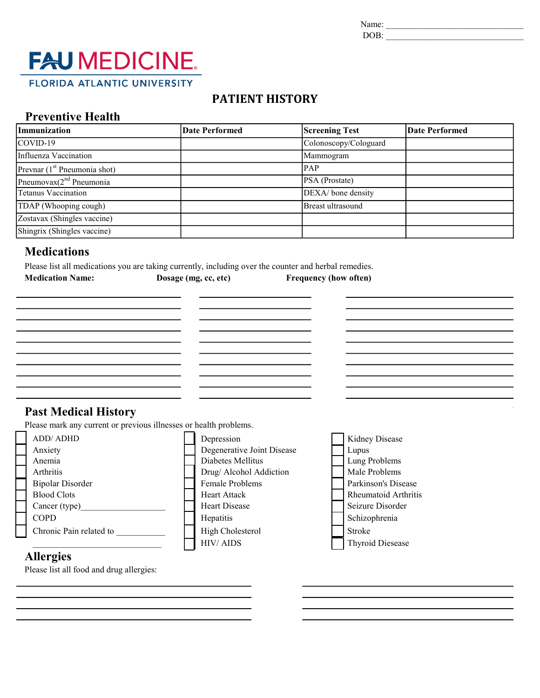Name: \_\_\_\_\_\_\_\_\_\_\_\_\_\_\_\_\_\_\_\_\_\_\_\_\_\_\_\_\_\_\_

DOB: \_\_\_\_\_\_\_\_\_\_\_\_\_\_\_\_\_\_\_\_\_\_\_\_\_\_\_\_\_\_\_

# **FAU MEDICINE. FLORIDA ATLANTIC UNIVERSITY**

# PATIENT HISTORY

#### Preventive Health

| Immunization                             | <b>Date Performed</b> | <b>Screening Test</b> | <b>Date Performed</b> |  |  |
|------------------------------------------|-----------------------|-----------------------|-----------------------|--|--|
| COVID-19                                 |                       | Colonoscopy/Cologuard |                       |  |  |
| Influenza Vaccination                    |                       | Mammogram             |                       |  |  |
| Prevnar (1 <sup>st</sup> Pneumonia shot) |                       | <b>PAP</b>            |                       |  |  |
| Pneumovax $(2^{nd}$ Pneumonia            |                       | PSA (Prostate)        |                       |  |  |
| <b>Tetanus Vaccination</b>               |                       | DEXA/ bone density    |                       |  |  |
| TDAP (Whooping cough)                    |                       | Breast ultrasound     |                       |  |  |
| Zostavax (Shingles vaccine)              |                       |                       |                       |  |  |
| Shingrix (Shingles vaccine)              |                       |                       |                       |  |  |

### **Medications**

Please list all medications you are taking currently, including over the counter and herbal remedies. Medication Name: Dosage (mg, cc, etc) Frequency (how often)

## Past Medical History

<u> 1989 - Johann Barbara, martin a</u>

<u> 1989 - Johann Barbara, martin amerikan ba</u>

<u> 1980 - Johann Barbara, martin amerikan ba</u>

<u> 1989 - Johann Barbara, martin a</u>

Please mark any current or previous illnesses or health problems.



#### Allergies

Please list all food and drug allergies: